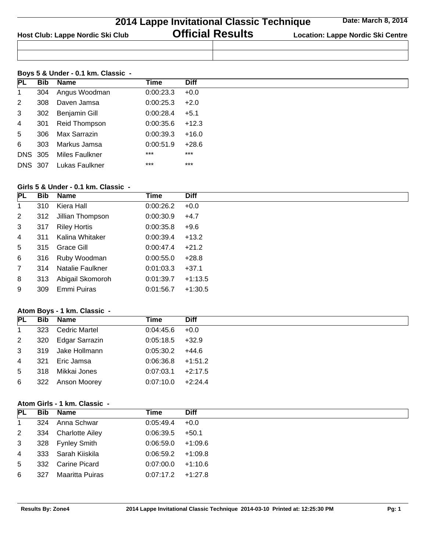|                                  | <b>2014 Lappe Invitational Classic Technique</b> | Date: March 8, 2014                      |
|----------------------------------|--------------------------------------------------|------------------------------------------|
| Host Club: Lappe Nordic Ski Club | <b>Official Results</b>                          | <b>Location: Lappe Nordic Ski Centre</b> |
|                                  |                                                  |                                          |

### **Boys 5 & Under - 0.1 km. Classic -**

| PL             |     | <b>Bib</b> Name        | Time              | <b>Diff</b> |
|----------------|-----|------------------------|-------------------|-------------|
|                |     |                        |                   |             |
| 1              |     | 304 Angus Woodman      | $0:00:23.3$ +0.0  |             |
| $2^{\circ}$    | 308 | Daven Jamsa            | $0:00:25.3$ +2.0  |             |
| $\mathbf{3}$   |     | 302 Benjamin Gill      | $0:00:28.4$ +5.1  |             |
| $\overline{4}$ | 301 | Reid Thompson          | $0:00:35.6$ +12.3 |             |
| 5 <sub>5</sub> |     | 306 Max Sarrazin       | 0:00:39.3         | +16.0       |
|                |     | 6 303 Markus Jamsa     | $0:00:51.9$ +28.6 |             |
|                |     | DNS 305 Miles Faulkner | $***$             | $***$       |
|                |     | DNS 307 Lukas Faulkner | $***$             | $***$       |

### **Girls 5 & Under - 0.1 km. Classic -**

| Bib | Name                | Time                                                                                                  | <b>Diff</b> |
|-----|---------------------|-------------------------------------------------------------------------------------------------------|-------------|
| 310 | Kiera Hall          | 0:00:26.2                                                                                             | $+0.0$      |
|     |                     | 0:00:30.9                                                                                             | $+4.7$      |
| 317 | <b>Riley Hortis</b> | 0:00:35.8                                                                                             | $+9.6$      |
| 311 | Kalina Whitaker     | 0:00:39.4                                                                                             | $+13.2$     |
|     |                     | 0:00:47.4                                                                                             | $+21.2$     |
|     |                     | 0:00:55.0                                                                                             | $+28.8$     |
| 314 |                     | 0:01:03.3                                                                                             | $+37.1$     |
| 313 |                     | 0:01:39.7                                                                                             | $+1:13.5$   |
| 309 | Emmi Puiras         | 0:01:56.7                                                                                             | $+1:30.5$   |
|     |                     | 312<br>Jillian Thompson<br>315 Grace Gill<br>316 Ruby Woodman<br>Natalie Faulkner<br>Abigail Skomoroh |             |

# **Atom Boys - 1 km. Classic -**

|                | PL Bib Name        | Time                | <b>Diff</b> |
|----------------|--------------------|---------------------|-------------|
| $\overline{1}$ | 323 Cedric Martel  | $0.04:45.6 + 0.0$   |             |
| 2              | 320 Edgar Sarrazin | $0:05:18.5$ +32.9   |             |
| $\mathbf{3}$   | 319 Jake Hollmann  | $0.05:30.2$ +44.6   |             |
| 4              | 321 Eric Jamsa     | $0:06:36.8$ +1:51.2 |             |
| 5 <sup>5</sup> | 318 Mikkai Jones   | 0:07:03.1           | $+2:17.5$   |
| 6              | 322 Anson Moorey   | 0.07:10.0           | $+2:24.4$   |

# **Atom Girls - 1 km. Classic -**

|                |     | PL Bib Name         | Time                | <b>Diff</b> |  |
|----------------|-----|---------------------|---------------------|-------------|--|
| $\mathbf{1}$   |     | 324 Anna Schwar     | $0.05:49.4$ +0.0    |             |  |
| $\overline{2}$ |     | 334 Charlotte Ailey | $0:06:39.5$ +50.1   |             |  |
| $\mathbf{3}$   |     | 328 Fynley Smith    | $0.06:59.0 +1.09.6$ |             |  |
| $\overline{4}$ |     | 333 Sarah Kiiskila  | $0.06:59.2 +1.09.8$ |             |  |
| 5 <sup>5</sup> |     | 332 Carine Picard   | $0.07:00.0$ +1:10.6 |             |  |
| 6              | 327 | Maaritta Puiras     | $0:07:17.2$ +1:27.8 |             |  |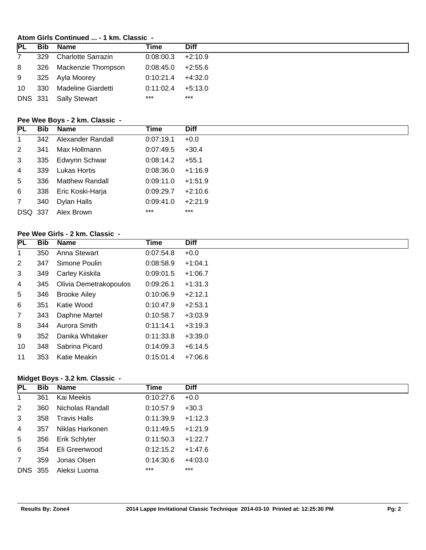## **Atom Girls Continued ... - 1 km. Classic -**

| <b>PL</b>       | Bib | Name                   | Time                | <b>Diff</b> |
|-----------------|-----|------------------------|---------------------|-------------|
| $\overline{7}$  |     | 329 Charlotte Sarrazin | $0:08:00.3$ +2:10.9 |             |
| 8               |     | 326 Mackenzie Thompson | $0.08:45.0$ +2.55.6 |             |
| 9               |     | 325 Ayla Moorey        | $0:10:21.4$ +4:32.0 |             |
| 10 <sup>1</sup> |     | 330 Madeline Giardetti | 0:11:02.4           | +5:13.0     |
|                 |     | DNS 331 Sally Stewart  | $***$               | ***         |

## **Pee Wee Boys - 2 km. Classic -**

| <b>PL</b>       |     | <b>Bib</b> Name        | Time              | <b>Diff</b> |
|-----------------|-----|------------------------|-------------------|-------------|
| $\mathbf{1}$    |     | 342 Alexander Randall  | 0:07:19.1         | $+0.0$      |
| 2               | 341 | Max Hollmann           | 0:07:49.5         | $+30.4$     |
| $\mathbf{3}$    |     | 335 Edwynn Schwar      | $0:08:14.2$ +55.1 |             |
| $\overline{4}$  | 339 | Lukas Hortis           | 0:08:36.0         | $+1:16.9$   |
| 5               | 336 | <b>Matthew Randall</b> | 0:09:11.0         | $+1:51.9$   |
| 6               |     | 338 Eric Koski-Harja   | 0:09:29.7         | $+2:10.6$   |
| $7\overline{ }$ | 340 | Dylan Halls            | 0.09:41.0         | $+2:21.9$   |
| <b>DSQ 337</b>  |     | Alex Brown             | $***$             | $***$       |

## **Pee Wee Girls - 2 km. Classic -**

| PL              | <b>Bib</b> | <b>Name</b>            | Time      | <b>Diff</b> |
|-----------------|------------|------------------------|-----------|-------------|
| 1               | 350        | Anna Stewart           | 0:07:54.8 | $+0.0$      |
| $\overline{2}$  | 347        | Simone Poulin          | 0.08:58.9 | $+1:04.1$   |
| 3               | 349        | Carley Kiiskila        | 0:09:01.5 | $+1:06.7$   |
| 4               | 345        | Olivia Demetrakopoulos | 0:09:26.1 | $+1:31.3$   |
| $5\overline{)}$ | 346        | <b>Brooke Ailey</b>    | 0:10:06.9 | $+2:12.1$   |
| 6               | 351        | Katie Wood             | 0:10:47.9 | $+2:53.1$   |
| $7\overline{ }$ | 343        | Daphne Martel          | 0:10:58.7 | $+3:03.9$   |
| 8               | 344        | Aurora Smith           | 0:11:14.1 | $+3:19.3$   |
| 9               | 352        | Danika Whitaker        | 0:11:33.8 | $+3:39.0$   |
| 10              | 348        | Sabrina Picard         | 0:14:09.3 | $+6:14.5$   |
| 11              | 353        | Katie Meakin           | 0:15:01.4 | $+7:06.6$   |

### **Midget Boys - 3.2 km. Classic -**

| PL <b>FL</b>   | Bib     | Name              | Time                | <b>Diff</b> |
|----------------|---------|-------------------|---------------------|-------------|
| $\mathbf{1}$   | 361     | Kai Meekis        | 0:10:27.6           | $+0.0$      |
| $\overline{2}$ | 360     | Nicholas Randall  | 0:10:57.9           | $+30.3$     |
| $\mathbf{3}$   | 358     | Travis Halls      | $0:11:39.9$ +1:12.3 |             |
| $\overline{4}$ | 357     | Niklas Harkonen   | $0:11:49.5$ +1:21.9 |             |
| 5 <sup>5</sup> | 356     | Erik Schlyter     | 0:11:50.3           | $+1:22.7$   |
| 6              |         | 354 Eli Greenwood | 0:12:15.2           | $+1:47.6$   |
| $7^{\circ}$    | 359     | Jonas Olsen       | 0:14:30.6           | $+4:03.0$   |
|                | DNS 355 | Aleksi Luoma      | $***$               | $***$       |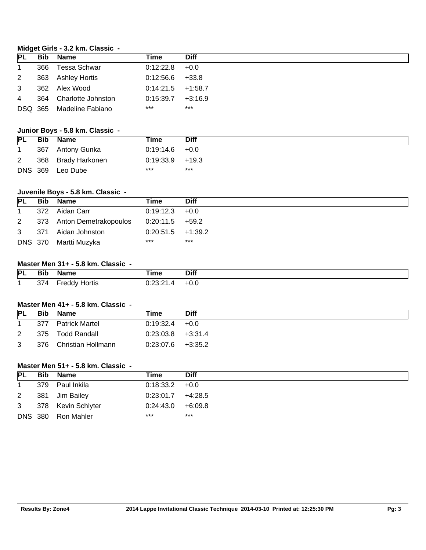### **Midget Girls - 3.2 km. Classic -**

| <b>PL</b>      | <b>Bib Name</b>          | Time                | <b>Diff</b> |
|----------------|--------------------------|---------------------|-------------|
| $\mathbf{1}$   | 366 Tessa Schwar         | $0.12:22.8$ +0.0    |             |
| $2^{\circ}$    | 363 Ashley Hortis        | $0:12:56.6$ +33.8   |             |
| 3              | 362 Alex Wood            | $0:14:21.5$ +1:58.7 |             |
| $\overline{4}$ | 364 Charlotte Johnston   | 0:15:39.7           | $+3:16.9$   |
|                | DSQ 365 Madeline Fabiano | $***$               | ***         |

#### **Junior Boys - 5.8 km. Classic -**

| <b>PL</b>      | Bib | Name               | Time               | <b>Diff</b> |
|----------------|-----|--------------------|--------------------|-------------|
|                |     | 367 Antony Gunka   | $0.19:14.6 + 0.0$  |             |
| $\overline{2}$ |     | 368 Brady Harkonen | $0.19.33.9 + 19.3$ |             |
|                |     | DNS 369 Leo Dube   | ***                | $***$       |

### **Juvenile Boys - 5.8 km. Classic -**

| <b>PL</b> | Bib | Name                      | Time                | <b>Diff</b> |
|-----------|-----|---------------------------|---------------------|-------------|
|           |     | 372 Aidan Carr            | $0.19:12.3 +0.0$    |             |
| 2         |     | 373 Anton Demetrakopoulos | $0:20:11.5$ +59.2   |             |
|           |     | 3 371 Aidan Johnston      | $0:20:51.5$ +1:39.2 |             |
|           |     | DNS 370 Martti Muzyka     | ***                 | $***$       |

### **Master Men 31+ - 5.8 km. Classic -**

| PL | $\sim$<br>Bit | Name                  | <b>Time</b> | <b>Diff</b> |
|----|---------------|-----------------------|-------------|-------------|
|    | ~-<br>314     | .<br>Hortis<br>∙reddy | ∩.∩∩.∩⊿     | +0.∪        |

### **Master Men 41+ - 5.8 km. Classic -**

| <b>PL</b> | <b>Bib</b> | Name                   | Time                | Diff |
|-----------|------------|------------------------|---------------------|------|
|           | 377        | <b>Patrick Martel</b>  | $0.19.32.4 + 0.0$   |      |
| 2         |            | 375 Todd Randall       | $0.23:03.8$ +3.31.4 |      |
| 3         |            | 376 Christian Hollmann | $0:23:07.6$ +3:35.2 |      |

#### **Master Men 51+ - 5.8 km. Classic -**

| <b>PL</b>   | Bib | Name                 | Time                 | <b>Diff</b> |
|-------------|-----|----------------------|----------------------|-------------|
|             |     | 379 Paul Inkila      | $0:18:33.2 +0.0$     |             |
| $2^{\circ}$ |     | 381 Jim Bailey       | $0:23:01.7$ +4:28.5  |             |
|             |     | 3 378 Kevin Schlyter | $0:24:43.0 + 6:09.8$ |             |
|             |     | DNS 380 Ron Mahler   | ***                  | $***$       |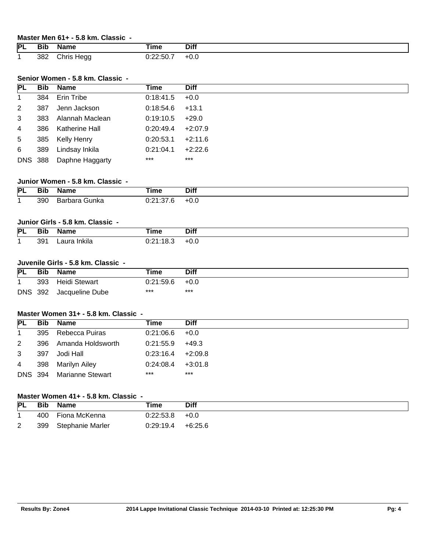#### **Master Men 61+ - 5.8 km. Classic -**

| PL | <b>Bib</b> | Name          | <b>Time</b>                                 | <b>Diff</b> |
|----|------------|---------------|---------------------------------------------|-------------|
|    | 382        | Chris<br>Hegg | $\mathbf{r}$<br>ז הרי∩<br>∪.∠∠.ວ∪. <i>.</i> | +0.0        |

### **Senior Women - 5.8 km. Classic -**

| <b>PL</b>      |     | <b>Bib</b> Name         | Time              | <b>Diff</b> |
|----------------|-----|-------------------------|-------------------|-------------|
| $\mathbf{1}$   |     | 384 Erin Tribe          | 0:18:41.5         | $+0.0$      |
| $\overline{2}$ | 387 | Jenn Jackson            | $0:18:54.6$ +13.1 |             |
| 3              |     | 383 Alannah Maclean     | $0.19:10.5$ +29.0 |             |
| $\overline{4}$ | 386 | Katherine Hall          | 0:20:49.4         | $+2:07.9$   |
| 5 <sub>1</sub> |     | 385 Kelly Henry         | 0:20:53.1         | $+2:11.6$   |
| 6              | 389 | Lindsay Inkila          | 0:21:04.1         | $+2:22.6$   |
|                |     | DNS 388 Daphne Haggarty | $***$             | $***$       |

### **Junior Women - 5.8 km. Classic -**

| <b>PL</b> | Bit           | Name                                           | Γime                  | Diff |
|-----------|---------------|------------------------------------------------|-----------------------|------|
|           | $\sim$ $\sim$ |                                                |                       |      |
|           | 390           | ` <del>J</del> unka<br>bara <sup>.</sup><br>Dd | n. n. .<br>0. I .U .U | +0.ບ |

### **Junior Girls - 5.8 km. Classic -**

| PL | <b>Bil</b> | ----<br>name | ⊺ime                          | <b>Diff</b> |
|----|------------|--------------|-------------------------------|-------------|
|    | 39         | w<br>пкііа   | $\overline{\phantom{a}}$<br>. | +∪.⊾        |

#### **Juvenile Girls - 5.8 km. Classic -**

| <b>PL</b>  | <b>Bib</b> | <b>Name</b>     | Time      | Diff   |
|------------|------------|-----------------|-----------|--------|
|            | 393        | Heidi Stewart   | 0:21:59.6 | $+0.0$ |
| <b>DNS</b> | 392        | Jacqueline Dube | ***       | $***$  |

#### **Master Women 31+ - 5.8 km. Classic -**

| <b>PL</b>      | Bib. | Name                     | Time                  | <b>Diff</b> |
|----------------|------|--------------------------|-----------------------|-------------|
| $\mathbf 1$    |      | 395 Rebecca Puiras       | $0.21:06.6$ +0.0      |             |
| 2              |      | 396 Amanda Holdsworth    | $0:21:55.9$ +49.3     |             |
| 3              | 397  | Jodi Hall                | $0.23:16.4 +2.09.8$   |             |
| $\overline{4}$ |      | 398 Marilyn Ailey        | $0.24.08.4$ $+3.01.8$ |             |
|                |      | DNS 394 Marianne Stewart | ***                   | $***$       |

### **Master Women 41+ - 5.8 km. Classic -**

| <b>PL</b> | <b>Bib</b> | <b>Name</b>      | Time      | Diff      |
|-----------|------------|------------------|-----------|-----------|
|           | 400        | Fiona McKenna    | 0:22:53.8 | $+0.0$    |
| 2         | 399        | Stephanie Marler | 0:29:19.4 | $+6:25.6$ |